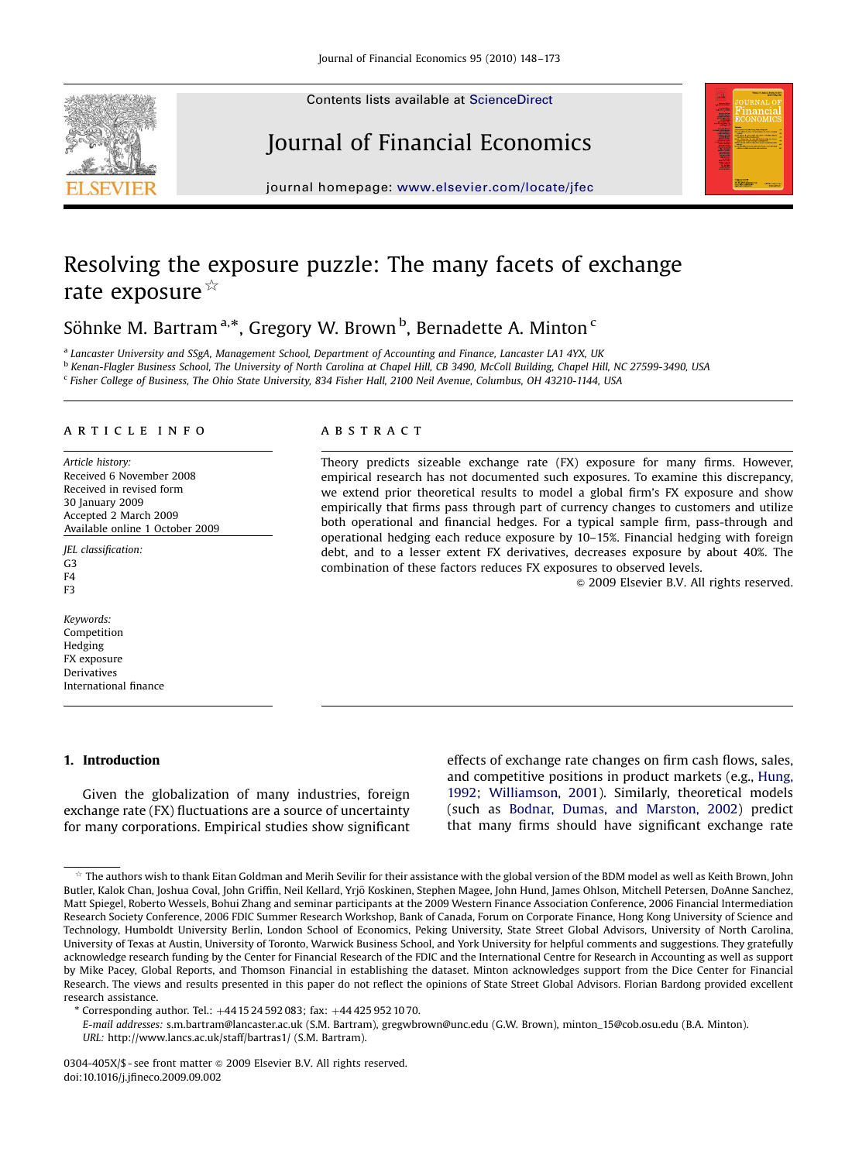Contents lists available at ScienceDirect







journal homepage: <www.elsevier.com/locate/jfec>

## Resolving the exposure puzzle: The many facets of exchange rate exposure  $\overline{\mathbb{R}}$

### Söhnke M. Bartram<sup>a,\*</sup>, Gregory W. Brown<sup>b</sup>, Bernadette A. Minton<sup>c</sup>

<sup>a</sup> Lancaster University and SSgA, Management School, Department of Accounting and Finance, Lancaster LA1 4YX, UK

<sup>b</sup> Kenan-Flagler Business School, The University of North Carolina at Chapel Hill, CB 3490, McColl Building, Chapel Hill, NC 27599-3490, USA

<sup>c</sup> Fisher College of Business, The Ohio State University, 834 Fisher Hall, 2100 Neil Avenue, Columbus, OH 43210-1144, USA

#### article info

Article history: Received 6 November 2008 Received in revised form 30 January 2009 Accepted 2 March 2009 Available online 1 October 2009

JEL classification: G3 F4 F3

Keywords: Competition Hedging FX exposure Derivatives International finance

#### 1. Introduction

Given the globalization of many industries, foreign exchange rate (FX) fluctuations are a source of uncertainty for many corporations. Empirical studies show significant

effects of exchange rate changes on firm cash flows, sales, and competitive positions in product markets (e.g., [Hung,](#page--1-0) [1992;](#page--1-0) [Williamson, 2001\)](#page--1-0). Similarly, theoretical models (such as [Bodnar, Dumas, and Marston, 2002\)](#page--1-0) predict that many firms should have significant exchange rate

0304-405X/\$ - see front matter @ 2009 Elsevier B.V. All rights reserved. doi:[10.1016/j.jfineco.2009.09.002](dx.doi.org/10.1016/j.jfineco.2009.09.002)

#### **ABSTRACT**

Theory predicts sizeable exchange rate (FX) exposure for many firms. However, empirical research has not documented such exposures. To examine this discrepancy, we extend prior theoretical results to model a global firm's FX exposure and show empirically that firms pass through part of currency changes to customers and utilize both operational and financial hedges. For a typical sample firm, pass-through and operational hedging each reduce exposure by 10–15%. Financial hedging with foreign debt, and to a lesser extent FX derivatives, decreases exposure by about 40%. The combination of these factors reduces FX exposures to observed levels.

 $© 2009$  Elsevier B.V. All rights reserved.

The authors wish to thank Eitan Goldman and Merih Sevilir for their assistance with the global version of the BDM model as well as Keith Brown, John Butler, Kalok Chan, Joshua Coval, John Griffin, Neil Kellard, Yrjo Koskinen, Stephen Magee, John Hund, James Ohlson, Mitchell Petersen, DoAnne Sanchez, ¨ Matt Spiegel, Roberto Wessels, Bohui Zhang and seminar participants at the 2009 Western Finance Association Conference, 2006 Financial Intermediation Research Society Conference, 2006 FDIC Summer Research Workshop, Bank of Canada, Forum on Corporate Finance, Hong Kong University of Science and Technology, Humboldt University Berlin, London School of Economics, Peking University, State Street Global Advisors, University of North Carolina, University of Texas at Austin, University of Toronto, Warwick Business School, and York University for helpful comments and suggestions. They gratefully acknowledge research funding by the Center for Financial Research of the FDIC and the International Centre for Research in Accounting as well as support by Mike Pacey, Global Reports, and Thomson Financial in establishing the dataset. Minton acknowledges support from the Dice Center for Financial Research. The views and results presented in this paper do not reflect the opinions of State Street Global Advisors. Florian Bardong provided excellent

research assistance.<br>\* Corresponding author. Tel.: +44 15 24 592 083; fax: +44 425 952 10 70.

E-mail addresses: [s.m.bartram@lancaster.ac.uk \(S.M. Bartram\)](mailto:s.m.bartram@lancaster.ac.uk), [gregwbrown@unc.edu \(G.W. Brown\),](mailto:gregwbrown@unc.edu) [minton\\_15@cob.osu.edu \(B.A. Minton\)](mailto:minton_15@cob.osu.edu). URL: [http://www.lancs.ac.uk/staff/bartras1/ \(S.M. Bartram\)](mailto:http://www.lancs.ac.uk/staff/bartras1/a4.3d).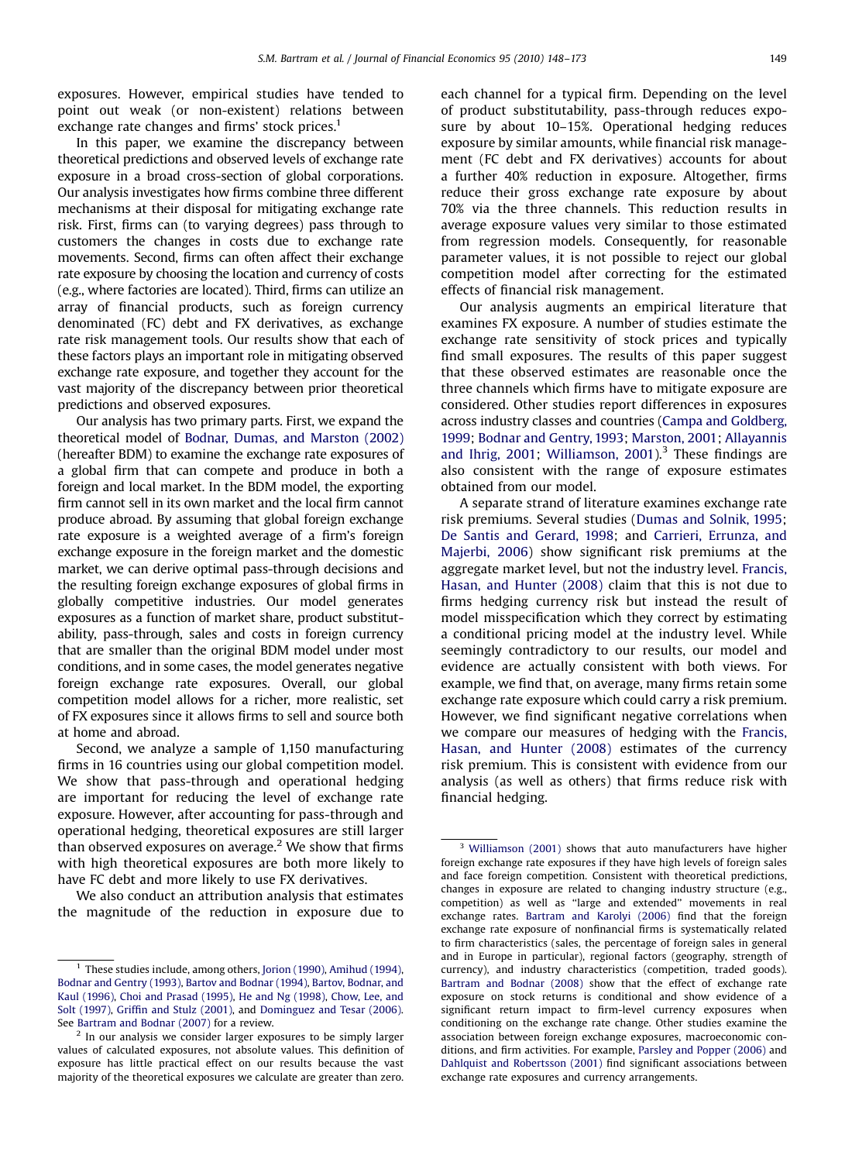exposures. However, empirical studies have tended to point out weak (or non-existent) relations between exchange rate changes and firms' stock prices.<sup>1</sup>

In this paper, we examine the discrepancy between theoretical predictions and observed levels of exchange rate exposure in a broad cross-section of global corporations. Our analysis investigates how firms combine three different mechanisms at their disposal for mitigating exchange rate risk. First, firms can (to varying degrees) pass through to customers the changes in costs due to exchange rate movements. Second, firms can often affect their exchange rate exposure by choosing the location and currency of costs (e.g., where factories are located). Third, firms can utilize an array of financial products, such as foreign currency denominated (FC) debt and FX derivatives, as exchange rate risk management tools. Our results show that each of these factors plays an important role in mitigating observed exchange rate exposure, and together they account for the vast majority of the discrepancy between prior theoretical predictions and observed exposures.

Our analysis has two primary parts. First, we expand the theoretical model of [Bodnar, Dumas, and Marston \(2002\)](#page--1-0) (hereafter BDM) to examine the exchange rate exposures of a global firm that can compete and produce in both a foreign and local market. In the BDM model, the exporting firm cannot sell in its own market and the local firm cannot produce abroad. By assuming that global foreign exchange rate exposure is a weighted average of a firm's foreign exchange exposure in the foreign market and the domestic market, we can derive optimal pass-through decisions and the resulting foreign exchange exposures of global firms in globally competitive industries. Our model generates exposures as a function of market share, product substitutability, pass-through, sales and costs in foreign currency that are smaller than the original BDM model under most conditions, and in some cases, the model generates negative foreign exchange rate exposures. Overall, our global competition model allows for a richer, more realistic, set of FX exposures since it allows firms to sell and source both at home and abroad.

Second, we analyze a sample of 1,150 manufacturing firms in 16 countries using our global competition model. We show that pass-through and operational hedging are important for reducing the level of exchange rate exposure. However, after accounting for pass-through and operational hedging, theoretical exposures are still larger than observed exposures on average.<sup>2</sup> We show that firms with high theoretical exposures are both more likely to have FC debt and more likely to use FX derivatives.

We also conduct an attribution analysis that estimates the magnitude of the reduction in exposure due to each channel for a typical firm. Depending on the level of product substitutability, pass-through reduces exposure by about 10–15%. Operational hedging reduces exposure by similar amounts, while financial risk management (FC debt and FX derivatives) accounts for about a further 40% reduction in exposure. Altogether, firms reduce their gross exchange rate exposure by about 70% via the three channels. This reduction results in average exposure values very similar to those estimated from regression models. Consequently, for reasonable parameter values, it is not possible to reject our global competition model after correcting for the estimated effects of financial risk management.

Our analysis augments an empirical literature that examines FX exposure. A number of studies estimate the exchange rate sensitivity of stock prices and typically find small exposures. The results of this paper suggest that these observed estimates are reasonable once the three channels which firms have to mitigate exposure are considered. Other studies report differences in exposures across industry classes and countries [\(Campa and Goldberg,](#page--1-0) [1999;](#page--1-0) [Bodnar and Gentry, 1993;](#page--1-0) [Marston, 2001;](#page--1-0) [Allayannis](#page--1-0) [and Ihrig, 2001;](#page--1-0) [Williamson, 2001](#page--1-0)).<sup>3</sup> These findings are also consistent with the range of exposure estimates obtained from our model.

A separate strand of literature examines exchange rate risk premiums. Several studies ([Dumas and Solnik, 1995](#page--1-0); [De Santis and Gerard, 1998](#page--1-0); and [Carrieri, Errunza, and](#page--1-0) [Majerbi, 2006\)](#page--1-0) show significant risk premiums at the aggregate market level, but not the industry level. [Francis,](#page--1-0) [Hasan, and Hunter \(2008\)](#page--1-0) claim that this is not due to firms hedging currency risk but instead the result of model misspecification which they correct by estimating a conditional pricing model at the industry level. While seemingly contradictory to our results, our model and evidence are actually consistent with both views. For example, we find that, on average, many firms retain some exchange rate exposure which could carry a risk premium. However, we find significant negative correlations when we compare our measures of hedging with the [Francis,](#page--1-0) [Hasan, and Hunter \(2008\)](#page--1-0) estimates of the currency risk premium. This is consistent with evidence from our analysis (as well as others) that firms reduce risk with financial hedging.

<sup>&</sup>lt;sup>1</sup> These studies include, among others, [Jorion \(1990\)](#page--1-0), [Amihud \(1994\)](#page--1-0), [Bodnar and Gentry \(1993\),](#page--1-0) [Bartov and Bodnar \(1994\)](#page--1-0), [Bartov, Bodnar, and](#page--1-0) [Kaul \(1996\),](#page--1-0) [Choi and Prasad \(1995\),](#page--1-0) [He and Ng \(1998\),](#page--1-0) [Chow, Lee, and](#page--1-0) [Solt \(1997\),](#page--1-0) [Griffin and Stulz \(2001\)](#page--1-0), and [Dominguez and Tesar \(2006\)](#page--1-0). See [Bartram and Bodnar \(2007\)](#page--1-0) for a review.

 $2$  In our analysis we consider larger exposures to be simply larger values of calculated exposures, not absolute values. This definition of exposure has little practical effect on our results because the vast majority of the theoretical exposures we calculate are greater than zero.

<sup>&</sup>lt;sup>3</sup> [Williamson \(2001\)](#page--1-0) shows that auto manufacturers have higher foreign exchange rate exposures if they have high levels of foreign sales and face foreign competition. Consistent with theoretical predictions, changes in exposure are related to changing industry structure (e.g., competition) as well as ''large and extended'' movements in real exchange rates. [Bartram and Karolyi \(2006\)](#page--1-0) find that the foreign exchange rate exposure of nonfinancial firms is systematically related to firm characteristics (sales, the percentage of foreign sales in general and in Europe in particular), regional factors (geography, strength of currency), and industry characteristics (competition, traded goods). [Bartram and Bodnar \(2008\)](#page--1-0) show that the effect of exchange rate exposure on stock returns is conditional and show evidence of a significant return impact to firm-level currency exposures when conditioning on the exchange rate change. Other studies examine the association between foreign exchange exposures, macroeconomic conditions, and firm activities. For example, [Parsley and Popper \(2006\)](#page--1-0) and [Dahlquist and Robertsson \(2001\)](#page--1-0) find significant associations between exchange rate exposures and currency arrangements.